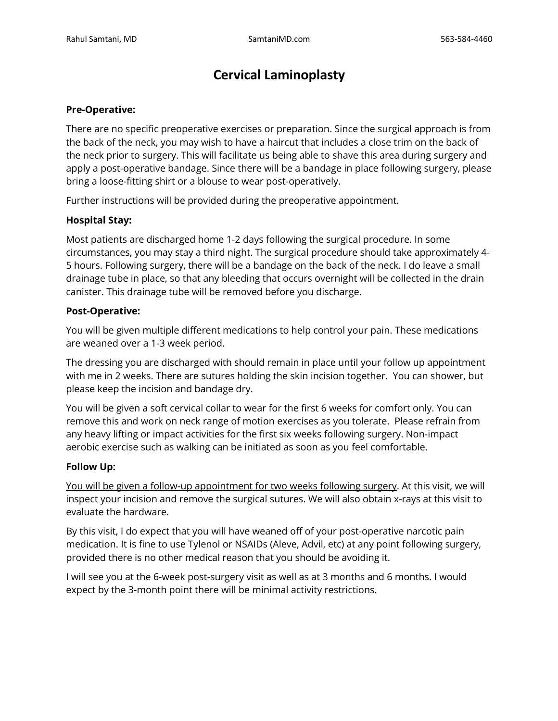# **Cervical Laminoplasty**

## **Pre-Operative:**

There are no specific preoperative exercises or preparation. Since the surgical approach is from the back of the neck, you may wish to have a haircut that includes a close trim on the back of the neck prior to surgery. This will facilitate us being able to shave this area during surgery and apply a post-operative bandage. Since there will be a bandage in place following surgery, please bring a loose-fitting shirt or a blouse to wear post-operatively.

Further instructions will be provided during the preoperative appointment.

## **Hospital Stay:**

Most patients are discharged home 1-2 days following the surgical procedure. In some circumstances, you may stay a third night. The surgical procedure should take approximately 4- 5 hours. Following surgery, there will be a bandage on the back of the neck. I do leave a small drainage tube in place, so that any bleeding that occurs overnight will be collected in the drain canister. This drainage tube will be removed before you discharge.

### **Post-Operative:**

You will be given multiple different medications to help control your pain. These medications are weaned over a 1-3 week period.

The dressing you are discharged with should remain in place until your follow up appointment with me in 2 weeks. There are sutures holding the skin incision together. You can shower, but please keep the incision and bandage dry.

You will be given a soft cervical collar to wear for the first 6 weeks for comfort only. You can remove this and work on neck range of motion exercises as you tolerate. Please refrain from any heavy lifting or impact activities for the first six weeks following surgery. Non-impact aerobic exercise such as walking can be initiated as soon as you feel comfortable.

#### **Follow Up:**

You will be given a follow-up appointment for two weeks following surgery. At this visit, we will inspect your incision and remove the surgical sutures. We will also obtain x-rays at this visit to evaluate the hardware.

By this visit, I do expect that you will have weaned off of your post-operative narcotic pain medication. It is fine to use Tylenol or NSAIDs (Aleve, Advil, etc) at any point following surgery, provided there is no other medical reason that you should be avoiding it.

I will see you at the 6-week post-surgery visit as well as at 3 months and 6 months. I would expect by the 3-month point there will be minimal activity restrictions.